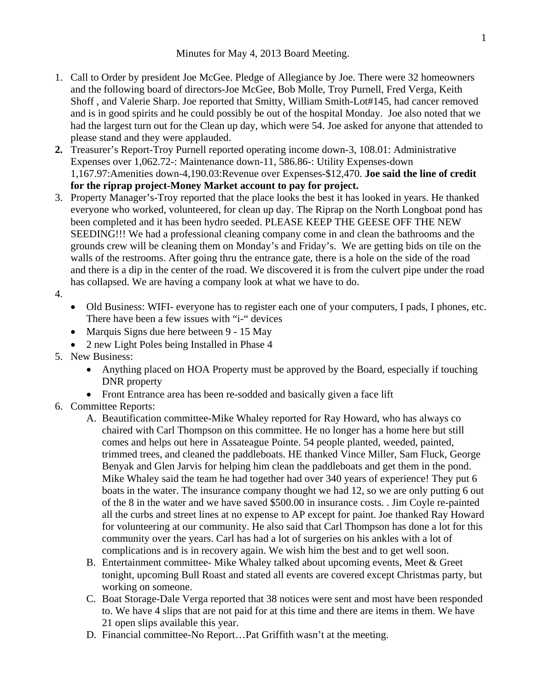Minutes for May 4, 2013 Board Meeting.

- 1. Call to Order by president Joe McGee. Pledge of Allegiance by Joe. There were 32 homeowners and the following board of directors-Joe McGee, Bob Molle, Troy Purnell, Fred Verga, Keith Shoff , and Valerie Sharp. Joe reported that Smitty, William Smith-Lot#145, had cancer removed and is in good spirits and he could possibly be out of the hospital Monday. Joe also noted that we had the largest turn out for the Clean up day, which were 54. Joe asked for anyone that attended to please stand and they were applauded.
- **2.** Treasurer's Report-Troy Purnell reported operating income down-3, 108.01: Administrative Expenses over 1,062.72-: Maintenance down-11, 586.86-: Utility Expenses-down 1,167.97:Amenities down-4,190.03:Revenue over Expenses-\$12,470. **Joe said the line of credit for the riprap project-Money Market account to pay for project.**
- 3. Property Manager's-Troy reported that the place looks the best it has looked in years. He thanked everyone who worked, volunteered, for clean up day. The Riprap on the North Longboat pond has been completed and it has been hydro seeded. PLEASE KEEP THE GEESE OFF THE NEW SEEDING!!! We had a professional cleaning company come in and clean the bathrooms and the grounds crew will be cleaning them on Monday's and Friday's. We are getting bids on tile on the walls of the restrooms. After going thru the entrance gate, there is a hole on the side of the road and there is a dip in the center of the road. We discovered it is from the culvert pipe under the road has collapsed. We are having a company look at what we have to do.
- 4.
- Old Business: WIFI- everyone has to register each one of your computers, I pads, I phones, etc. There have been a few issues with "i-" devices
- Marquis Signs due here between 9 15 May
- 2 new Light Poles being Installed in Phase 4
- 5. New Business:
	- Anything placed on HOA Property must be approved by the Board, especially if touching DNR property
	- Front Entrance area has been re-sodded and basically given a face lift
- 6. Committee Reports:
	- A. Beautification committee-Mike Whaley reported for Ray Howard, who has always co chaired with Carl Thompson on this committee. He no longer has a home here but still comes and helps out here in Assateague Pointe. 54 people planted, weeded, painted, trimmed trees, and cleaned the paddleboats. HE thanked Vince Miller, Sam Fluck, George Benyak and Glen Jarvis for helping him clean the paddleboats and get them in the pond. Mike Whaley said the team he had together had over 340 years of experience! They put 6 boats in the water. The insurance company thought we had 12, so we are only putting 6 out of the 8 in the water and we have saved \$500.00 in insurance costs. . Jim Coyle re-painted all the curbs and street lines at no expense to AP except for paint. Joe thanked Ray Howard for volunteering at our community. He also said that Carl Thompson has done a lot for this community over the years. Carl has had a lot of surgeries on his ankles with a lot of complications and is in recovery again. We wish him the best and to get well soon.
	- B. Entertainment committee- Mike Whaley talked about upcoming events, Meet & Greet tonight, upcoming Bull Roast and stated all events are covered except Christmas party, but working on someone.
	- C. Boat Storage-Dale Verga reported that 38 notices were sent and most have been responded to. We have 4 slips that are not paid for at this time and there are items in them. We have 21 open slips available this year.
	- D. Financial committee-No Report…Pat Griffith wasn't at the meeting.